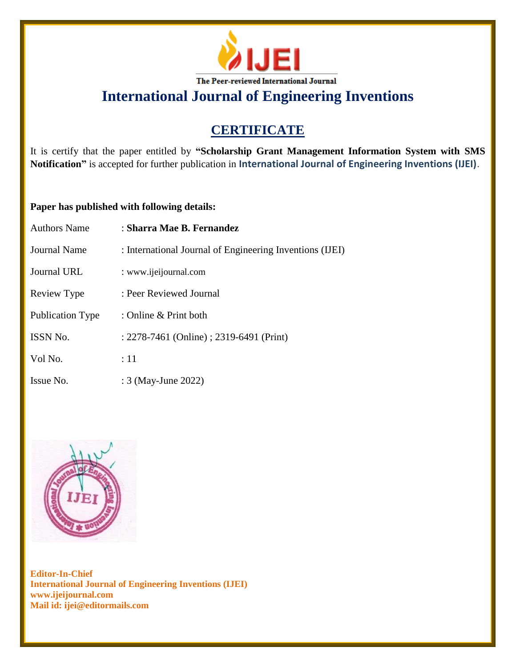

**International Journal of Engineering Inventions**

# **CERTIFICATE**

It is certify that the paper entitled by **"Scholarship Grant Management Information System with SMS Notification"** is accepted for further publication in **International Journal of Engineering Inventions (IJEI)**.

## **Paper has published with following details:**

| <b>Authors Name</b> | : Sharra Mae B. Fernandez                                |
|---------------------|----------------------------------------------------------|
| Journal Name        | : International Journal of Engineering Inventions (IJEI) |
| Journal URL         | : www.ijeijournal.com                                    |
| Review Type         | : Peer Reviewed Journal                                  |
| Publication Type    | : Online & Print both                                    |
| <b>ISSN No.</b>     | : 2278-7461 (Online) ; 2319-6491 (Print)                 |
| Vol No.             | :11                                                      |
| Issue No.           | : 3 (May-June 2022)                                      |



**Editor-In-Chief International Journal of Engineering Inventions (IJEI) www.ijeijournal.com Mail id: ijei@editormails.com**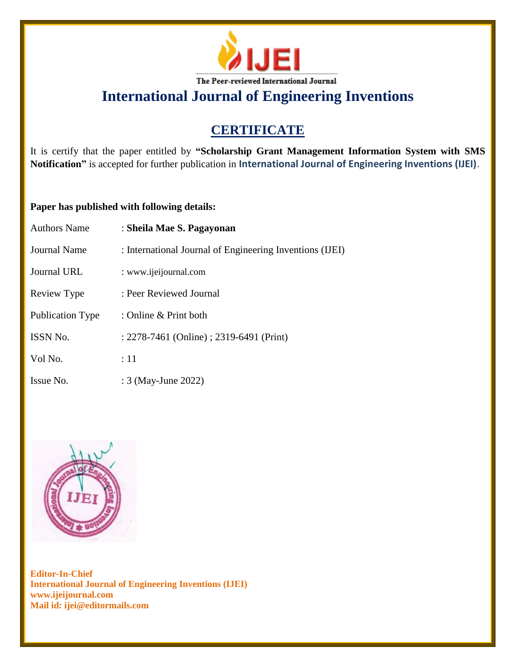

**International Journal of Engineering Inventions**

# **CERTIFICATE**

It is certify that the paper entitled by **"Scholarship Grant Management Information System with SMS Notification"** is accepted for further publication in **International Journal of Engineering Inventions (IJEI)**.

## **Paper has published with following details:**

| <b>Authors Name</b>     | : Sheila Mae S. Pagayonan                                |
|-------------------------|----------------------------------------------------------|
| <b>Journal Name</b>     | : International Journal of Engineering Inventions (IJEI) |
| Journal URL             | : www.ijeijournal.com                                    |
| Review Type             | : Peer Reviewed Journal                                  |
| <b>Publication Type</b> | : Online & Print both                                    |
| <b>ISSN No.</b>         | : 2278-7461 (Online) ; 2319-6491 (Print)                 |
| Vol No.                 | :11                                                      |
| Issue No.               | : 3 (May-June 2022)                                      |



**Editor-In-Chief International Journal of Engineering Inventions (IJEI) www.ijeijournal.com Mail id: ijei@editormails.com**